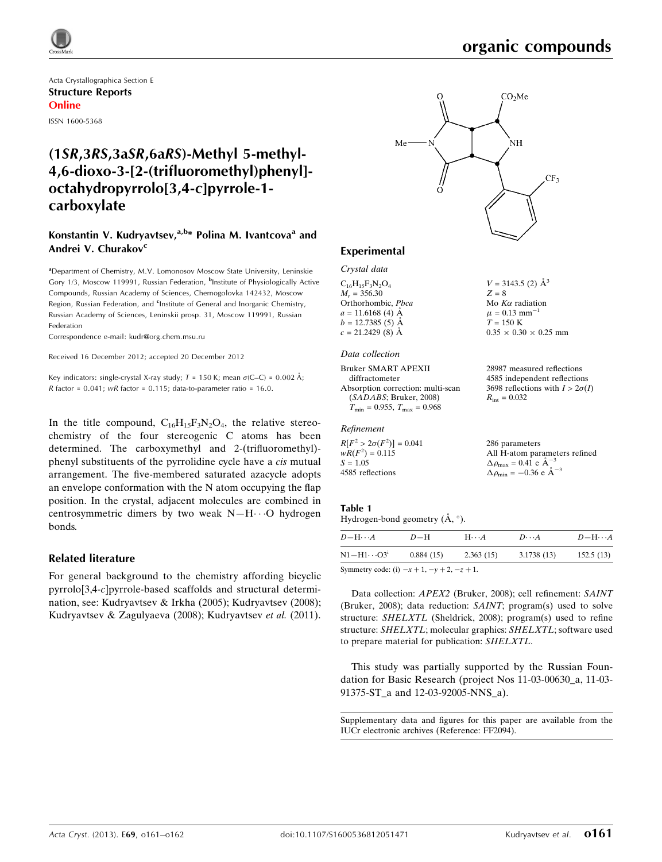

Acta Crystallographica Section E Structure Reports Online ISSN 1600-5368

## (1SR,3RS,3aSR,6aRS)-Methyl 5-methyl-4,6-dioxo-3-[2-(trifluoromethyl)phenyl] octahydropyrrolo[3,4-c]pyrrole-1 carboxylate

#### Konstantin V. Kudryavtsev, $a,b*$  Polina M. Ivantcova<sup>a</sup> and Andrei V. Churakov<sup>c</sup>

<sup>a</sup> Department of Chemistry, M.V. Lomonosov Moscow State University, Leninskie Gory 1/3, Moscow 119991, Russian Federation, <sup>b</sup>Institute of Physiologically Active Compounds, Russian Academy of Sciences, Chernogolovka 142432, Moscow Region, Russian Federation, and <sup>c</sup>Institute of General and Inorganic Chemistry, Russian Academy of Sciences, Leninskii prosp. 31, Moscow 119991, Russian Federation

Correspondence e-mail: [kudr@org.chem.msu.ru](https://scripts.iucr.org/cgi-bin/cr.cgi?rm=pdfbb&cnor=ff2094&bbid=BB6)

Received 16 December 2012; accepted 20 December 2012

Key indicators: single-crystal X-ray study;  $T = 150$  K; mean  $\sigma$ (C–C) = 0.002 Å; R factor =  $0.041$ ; wR factor =  $0.115$ ; data-to-parameter ratio =  $16.0$ .

In the title compound,  $C_{16}H_{15}F_3N_2O_4$ , the relative stereochemistry of the four stereogenic C atoms has been determined. The carboxymethyl and 2-(trifluoromethyl) phenyl substituents of the pyrrolidine cycle have a cis mutual arrangement. The five-membered saturated azacycle adopts an envelope conformation with the N atom occupying the flap position. In the crystal, adjacent molecules are combined in centrosymmetric dimers by two weak N-H $\cdot \cdot$ O hydrogen bonds.

#### Related literature

For general background to the chemistry affording bicyclic pyrrolo[3,4-c]pyrrole-based scaffolds and structural determination, see: Kudryavtsev & Irkha (2005); Kudryavtsev (2008); Kudryavtsev & Zagulyaeva (2008); Kudryavtsev et al. (2011).



 $V = 3143.5$  (2)  $\AA^3$ 

Mo $K\alpha$  radiation  $\mu = 0.13$  mm<sup>-1</sup>  $T = 150$  K

 $R_{\text{int}} = 0.032$ 

 $0.35 \times 0.30 \times 0.25$  mm

28987 measured reflections 4585 independent reflections 3698 reflections with  $I > 2\sigma(I)$ 

 $Z = 8$ 

#### Experimental

Crystal data  $C_{16}H_{15}F_3N_2O_4$  $M_r = 356.30$ 

Orthorhombic, Pbca  $a = 11.6168(4)$  Å  $b = 12.7385(5)$  Å  $c = 21.2429(8)$  Å

#### Data collection

Bruker SMART APEXII diffractometer Absorption correction: multi-scan (SADABS; Bruker, 2008)  $T_{\text{min}} = 0.955$ ,  $T_{\text{max}} = 0.968$ 

#### Refinement

 $R[F^2 > 2\sigma(F^2)] = 0.041$  $wR(F^2) = 0.115$  $S = 1.05$ 4585 reflections 286 parameters All H-atom parameters refined  $\Delta \rho_{\text{max}} = 0.41 \text{ e A}^{-3}$  $\Delta \rho_{\text{min}} = -0.36 \text{ e A}^{-3}$ 

#### Table 1 Hydrogen-bond geometry  $(\mathring{A}, \degree)$ .

| $D$ -H $\cdots$ A                           | $D-H$     | $H \cdots A$ | $D\cdots A$ | $D - H \cdots A$ |
|---------------------------------------------|-----------|--------------|-------------|------------------|
| $N1 - H1 \cdots O3^1$                       | 0.884(15) | 2.363(15)    | 3.1738(13)  | 152.5(13)        |
| $Symmetry code (i) = 1, 1, \ldots, 2, 1, 1$ |           |              |             |                  |

Symmetry code: (i)  $-x + 1$ ,  $-y + 2$ ,  $-z + 1$ .

Data collection: APEX2 (Bruker, 2008); cell refinement: SAINT (Bruker, 2008); data reduction: SAINT; program(s) used to solve structure: SHELXTL (Sheldrick, 2008); program(s) used to refine structure: SHELXTL; molecular graphics: SHELXTL; software used to prepare material for publication: SHELXTL.

This study was partially supported by the Russian Foundation for Basic Research (project Nos 11-03-00630\_a, 11-03- 91375-ST\_a and 12-03-92005-NNS\_a).

Supplementary data and figures for this paper are available from the IUCr electronic archives (Reference: FF2094).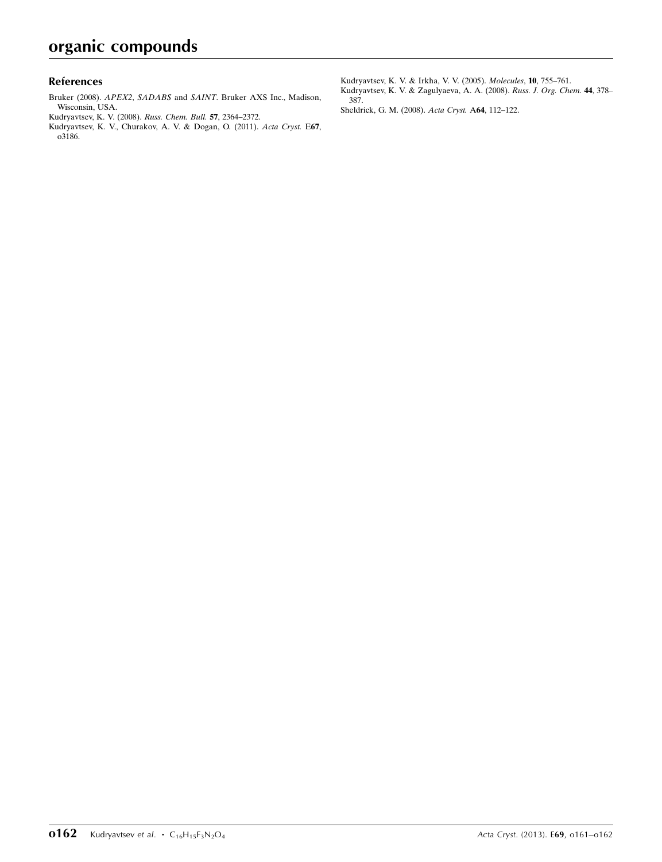#### References

- Bruker (2008). APEX2, SADABS and SAINT[. Bruker AXS Inc., Madison,](https://scripts.iucr.org/cgi-bin/cr.cgi?rm=pdfbb&cnor=ff2094&bbid=BB1) [Wisconsin, USA.](https://scripts.iucr.org/cgi-bin/cr.cgi?rm=pdfbb&cnor=ff2094&bbid=BB1)
- [Kudryavtsev, K. V. \(2008\).](https://scripts.iucr.org/cgi-bin/cr.cgi?rm=pdfbb&cnor=ff2094&bbid=BB2) Russ. Chem. Bull. 57, 2364–2372.
- [Kudryavtsev, K. V., Churakov, A. V. & Dogan, O. \(2011\).](https://scripts.iucr.org/cgi-bin/cr.cgi?rm=pdfbb&cnor=ff2094&bbid=BB3) Acta Cryst. E67, [o3186.](https://scripts.iucr.org/cgi-bin/cr.cgi?rm=pdfbb&cnor=ff2094&bbid=BB3)

[Kudryavtsev, K. V. & Irkha, V. V. \(2005\).](https://scripts.iucr.org/cgi-bin/cr.cgi?rm=pdfbb&cnor=ff2094&bbid=BB4) Molecules, 10, 755–761.

- [Kudryavtsev, K. V. & Zagulyaeva, A. A. \(2008\).](https://scripts.iucr.org/cgi-bin/cr.cgi?rm=pdfbb&cnor=ff2094&bbid=BB5) Russ. J. Org. Chem. 44, 378– [387.](https://scripts.iucr.org/cgi-bin/cr.cgi?rm=pdfbb&cnor=ff2094&bbid=BB5)
- [Sheldrick, G. M. \(2008\).](https://scripts.iucr.org/cgi-bin/cr.cgi?rm=pdfbb&cnor=ff2094&bbid=BB6) Acta Cryst. A64, 112–122.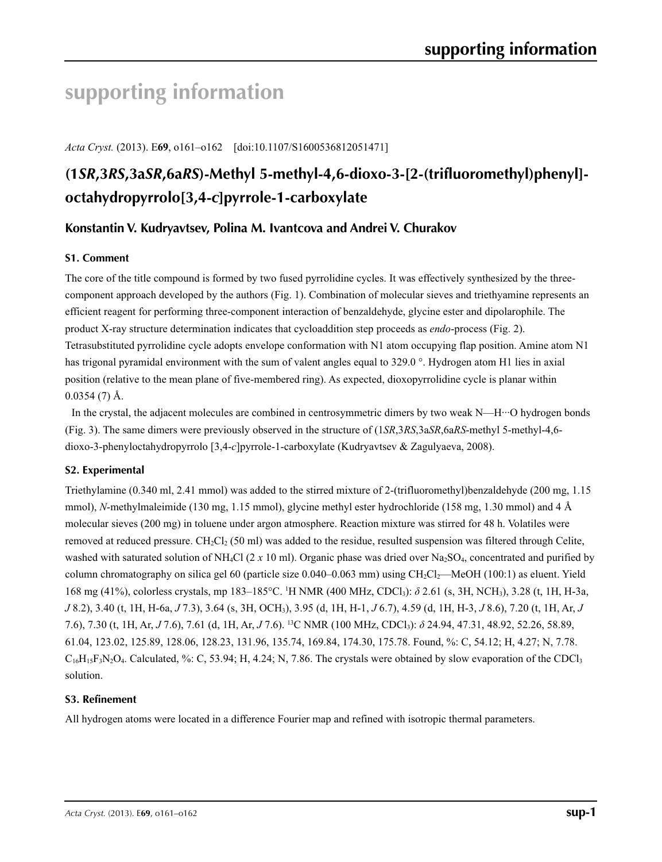## **supporting information**

*Acta Cryst.* (2013). E**69**, o161–o162 [doi:10.1107/S1600536812051471]

## **(1***SR***,3***RS***,3a***SR***,6a***RS***)-Methyl 5-methyl-4,6-dioxo-3-[2-(trifluoromethyl)phenyl] octahydropyrrolo[3,4-***c***]pyrrole-1-carboxylate**

### **Konstantin V. Kudryavtsev, Polina M. Ivantcova and Andrei V. Churakov**

#### **S1. Comment**

The core of the title compound is formed by two fused pyrrolidine cycles. It was effectively synthesized by the threecomponent approach developed by the authors (Fig. 1). Combination of molecular sieves and triethyamine represents an efficient reagent for performing three-component interaction of benzaldehyde, glycine ester and dipolarophile. The product X-ray structure determination indicates that cycloaddition step proceeds as *endo*-process (Fig. 2). Tetrasubstituted pyrrolidine cycle adopts envelope conformation with N1 atom occupying flap position. Amine atom N1 has trigonal pyramidal environment with the sum of valent angles equal to 329.0 °. Hydrogen atom H1 lies in axial position (relative to the mean plane of five-membered ring). As expected, dioxopyrrolidine cycle is planar within  $0.0354(7)$  Å.

In the crystal, the adjacent molecules are combined in centrosymmetric dimers by two weak  $N$ —H $\cdot\cdot$ O hydrogen bonds (Fig. 3). The same dimers were previously observed in the structure of (1*SR*,3*RS*,3a*SR*,6a*RS*-methyl 5-methyl-4,6 dioxo-3-phenyloctahydropyrrolo [3,4-*c*]pyrrole-1-carboxylate (Kudryavtsev & Zagulyaeva, 2008).

#### **S2. Experimental**

Triethylamine (0.340 ml, 2.41 mmol) was added to the stirred mixture of 2-(trifluoromethyl)benzaldehyde (200 mg, 1.15 mmol), *N*-methylmaleimide (130 mg, 1.15 mmol), glycine methyl ester hydrochloride (158 mg, 1.30 mmol) and 4 Å molecular sieves (200 mg) in toluene under argon atmosphere. Reaction mixture was stirred for 48 h. Volatiles were removed at reduced pressure.  $CH_2Cl_2$  (50 ml) was added to the residue, resulted suspension was filtered through Celite, washed with saturated solution of NH<sub>4</sub>Cl (2  $x$  10 ml). Organic phase was dried over Na<sub>2</sub>SO<sub>4</sub>, concentrated and purified by column chromatography on silica gel 60 (particle size 0.040–0.063 mm) using CH<sub>2</sub>Cl<sub>2</sub>—MeOH (100:1) as eluent. Yield 168 mg (41%), colorless crystals, mp 183–185°C. 1 H NMR (400 MHz, CDCl3): *δ* 2.61 (s, 3H, NCH3), 3.28 (t, 1H, H-3a, *J* 8.2), 3.40 (t, 1H, H-6a, *J* 7.3), 3.64 (s, 3H, OCH3), 3.95 (d, 1H, H-1, *J* 6.7), 4.59 (d, 1H, H-3, *J* 8.6), 7.20 (t, 1H, Ar, *J* 7.6), 7.30 (t, 1H, Ar, *J* 7.6), 7.61 (d, 1H, Ar, *J* 7.6). 13C NMR (100 MHz, CDCl3): *δ* 24.94, 47.31, 48.92, 52.26, 58.89, 61.04, 123.02, 125.89, 128.06, 128.23, 131.96, 135.74, 169.84, 174.30, 175.78. Found, %: C, 54.12; H, 4.27; N, 7.78.  $C_{16}H_{15}F_3N_2O_4$ . Calculated, %: C, 53.94; H, 4.24; N, 7.86. The crystals were obtained by slow evaporation of the CDCl<sub>3</sub> solution.

#### **S3. Refinement**

All hydrogen atoms were located in a difference Fourier map and refined with isotropic thermal parameters.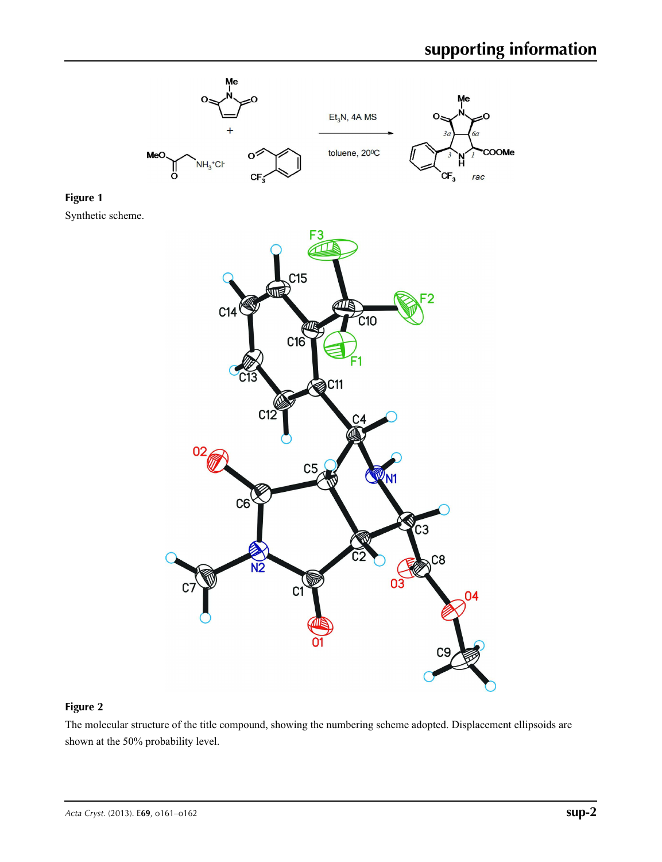

#### **Figure 2**

The molecular structure of the title compound, showing the numbering scheme adopted. Displacement ellipsoids are shown at the 50% probability level.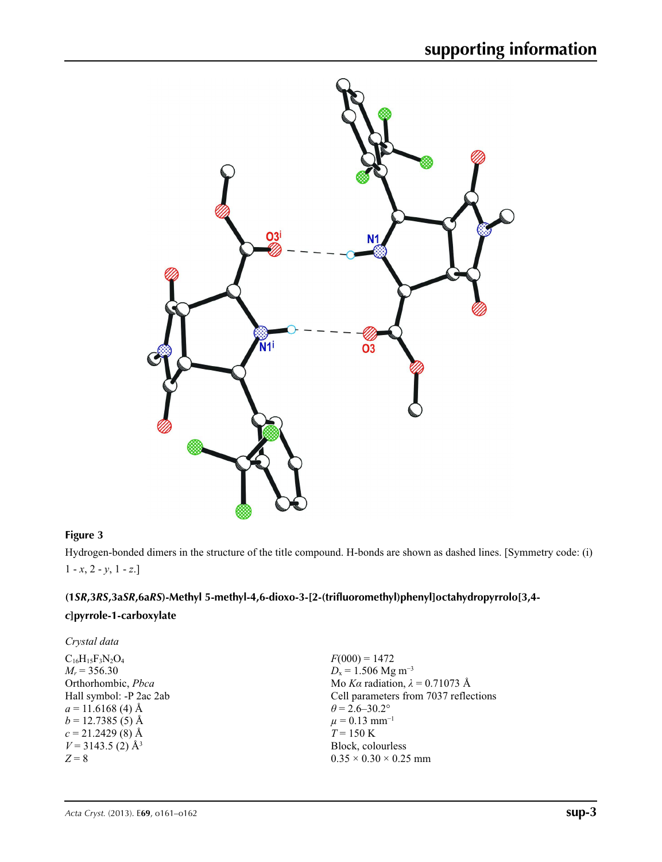

### **Figure 3**

Hydrogen-bonded dimers in the structure of the title compound. H-bonds are shown as dashed lines. [Symmetry code: (i)  $1 - x, 2 - y, 1 - z.$ 

## **(1***SR***,3***RS***,3a***SR***,6a***RS***)-Methyl 5-methyl-4,6-dioxo-3-[2-(trifluoromethyl)phenyl]octahydropyrrolo[3,4-**

### *c***]pyrrole-1-carboxylate**

| Crystal data                    |                                        |
|---------------------------------|----------------------------------------|
| $C_{16}H_{15}F_3N_2O_4$         | $F(000) = 1472$                        |
| $M_r = 356.30$                  | $D_x = 1.506$ Mg m <sup>-3</sup>       |
| Orthorhombic, Pbca              | Mo Ka radiation, $\lambda = 0.71073$ Å |
| Hall symbol: -P 2ac 2ab         | Cell parameters from 7037 reflections  |
| $a = 11.6168$ (4) Å             | $\theta$ = 2.6–30.2°                   |
| $b = 12.7385(5)$ Å              | $\mu = 0.13$ mm <sup>-1</sup>          |
| $c = 21.2429(8)$ Å              | $T = 150 \text{ K}$                    |
| $V = 3143.5$ (2) Å <sup>3</sup> | Block, colourless                      |
| $Z = 8$                         | $0.35 \times 0.30 \times 0.25$ mm      |
|                                 |                                        |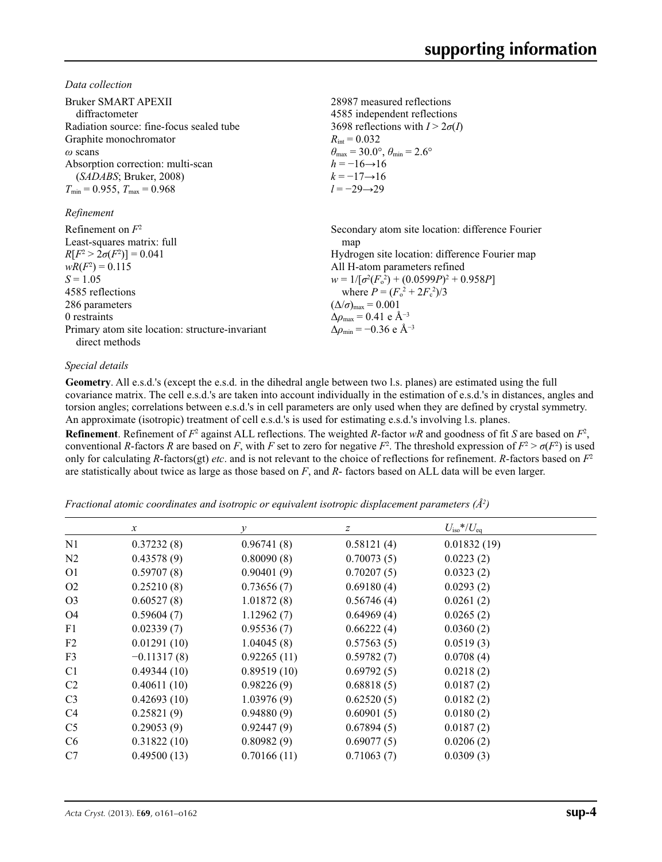*Data collection*

| Bruker SMART APEXII<br>diffractometer<br>Radiation source: fine-focus sealed tube<br>Graphite monochromator<br>$\omega$ scans<br>Absorption correction: multi-scan<br>(SADABS; Bruker, 2008)<br>$T_{\min}$ = 0.955, $T_{\max}$ = 0.968<br>Refinement | 28987 measured reflections<br>4585 independent reflections<br>3698 reflections with $I > 2\sigma(I)$<br>$R_{\text{int}} = 0.032$<br>$\theta_{\text{max}} = 30.0^{\circ}, \theta_{\text{min}} = 2.6^{\circ}$<br>$h = -16 \rightarrow 16$<br>$k = -17 \rightarrow 16$<br>$l = -29 \rightarrow 29$                                                                                      |
|------------------------------------------------------------------------------------------------------------------------------------------------------------------------------------------------------------------------------------------------------|--------------------------------------------------------------------------------------------------------------------------------------------------------------------------------------------------------------------------------------------------------------------------------------------------------------------------------------------------------------------------------------|
| Refinement on $F^2$<br>Least-squares matrix: full<br>$R[F^2 > 2\sigma(F^2)] = 0.041$<br>$wR(F^2) = 0.115$<br>$S = 1.05$<br>4585 reflections<br>286 parameters<br>0 restraints<br>Primary atom site location: structure-invariant<br>direct methods   | Secondary atom site location: difference Fourier<br>map<br>Hydrogen site location: difference Fourier map<br>All H-atom parameters refined<br>$w = 1/[\sigma^2(F_0^2) + (0.0599P)^2 + 0.958P]$<br>where $P = (F_o^2 + 2F_c^2)/3$<br>$(\Delta/\sigma)_{\text{max}} = 0.001$<br>$\Delta\rho_{\text{max}}$ = 0.41 e Å <sup>-3</sup><br>$\Delta\rho_{\rm min} = -0.36$ e Å <sup>-3</sup> |

#### *Special details*

**Geometry**. All e.s.d.'s (except the e.s.d. in the dihedral angle between two l.s. planes) are estimated using the full covariance matrix. The cell e.s.d.'s are taken into account individually in the estimation of e.s.d.'s in distances, angles and torsion angles; correlations between e.s.d.'s in cell parameters are only used when they are defined by crystal symmetry. An approximate (isotropic) treatment of cell e.s.d.'s is used for estimating e.s.d.'s involving l.s. planes.

**Refinement**. Refinement of  $F^2$  against ALL reflections. The weighted *R*-factor  $wR$  and goodness of fit *S* are based on  $F^2$ , conventional *R*-factors *R* are based on *F*, with *F* set to zero for negative  $F^2$ . The threshold expression of  $F^2 > \sigma(F^2)$  is used only for calculating *R*-factors(gt) *etc*. and is not relevant to the choice of reflections for refinement. *R*-factors based on *F*<sup>2</sup> are statistically about twice as large as those based on *F*, and *R*- factors based on ALL data will be even larger.

*Fractional atomic coordinates and isotropic or equivalent isotropic displacement parameters (Å<sup>2</sup>)* 

|                | $\mathcal{X}$ | у           | z          | $U_{\text{iso}}$ */ $U_{\text{eq}}$ |  |
|----------------|---------------|-------------|------------|-------------------------------------|--|
| N1             | 0.37232(8)    | 0.96741(8)  | 0.58121(4) | 0.01832(19)                         |  |
| N2             | 0.43578(9)    | 0.80090(8)  | 0.70073(5) | 0.0223(2)                           |  |
| O <sub>1</sub> | 0.59707(8)    | 0.90401(9)  | 0.70207(5) | 0.0323(2)                           |  |
| O <sub>2</sub> | 0.25210(8)    | 0.73656(7)  | 0.69180(4) | 0.0293(2)                           |  |
| O <sub>3</sub> | 0.60527(8)    | 1.01872(8)  | 0.56746(4) | 0.0261(2)                           |  |
| O <sub>4</sub> | 0.59604(7)    | 1.12962(7)  | 0.64969(4) | 0.0265(2)                           |  |
| F1             | 0.02339(7)    | 0.95536(7)  | 0.66222(4) | 0.0360(2)                           |  |
| F <sub>2</sub> | 0.01291(10)   | 1.04045(8)  | 0.57563(5) | 0.0519(3)                           |  |
| F3             | $-0.11317(8)$ | 0.92265(11) | 0.59782(7) | 0.0708(4)                           |  |
| C <sub>1</sub> | 0.49344(10)   | 0.89519(10) | 0.69792(5) | 0.0218(2)                           |  |
| C <sub>2</sub> | 0.40611(10)   | 0.98226(9)  | 0.68818(5) | 0.0187(2)                           |  |
| C <sub>3</sub> | 0.42693(10)   | 1.03976(9)  | 0.62520(5) | 0.0182(2)                           |  |
| C4             | 0.25821(9)    | 0.94880(9)  | 0.60901(5) | 0.0180(2)                           |  |
| C <sub>5</sub> | 0.29053(9)    | 0.92447(9)  | 0.67894(5) | 0.0187(2)                           |  |
| C <sub>6</sub> | 0.31822(10)   | 0.80982(9)  | 0.69077(5) | 0.0206(2)                           |  |
| C7             | 0.49500(13)   | 0.70166(11) | 0.71063(7) | 0.0309(3)                           |  |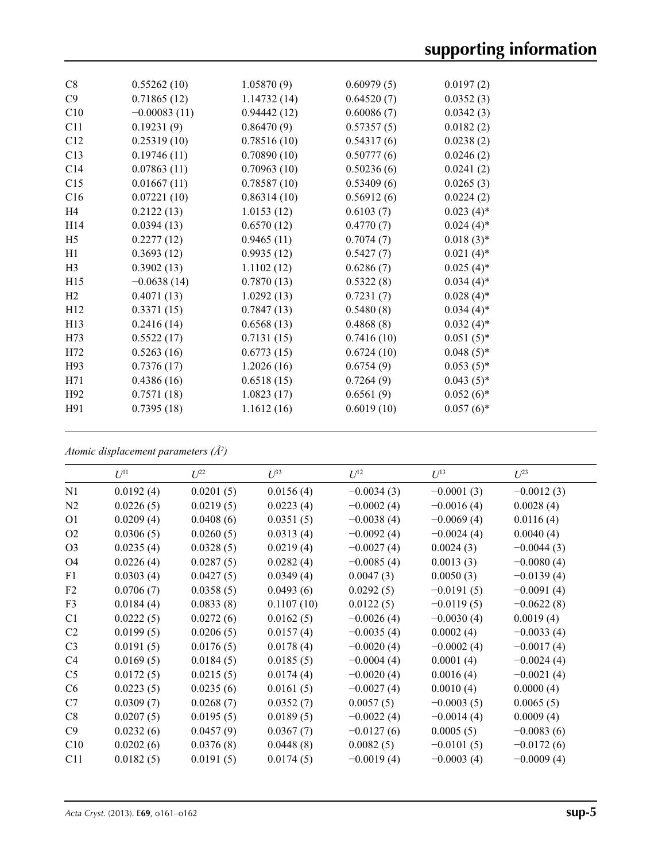| C8              | 0.55262(10)    | 1.05870(9)  | 0.60979(5) | 0.0197(2)    |
|-----------------|----------------|-------------|------------|--------------|
| C9              | 0.71865(12)    | 1.14732(14) | 0.64520(7) | 0.0352(3)    |
| C10             | $-0.00083(11)$ | 0.94442(12) | 0.60086(7) | 0.0342(3)    |
| C11             | 0.19231(9)     | 0.86470(9)  | 0.57357(5) | 0.0182(2)    |
| C12             | 0.25319(10)    | 0.78516(10) | 0.54317(6) | 0.0238(2)    |
| C13             | 0.19746(11)    | 0.70890(10) | 0.50777(6) | 0.0246(2)    |
| C14             | 0.07863(11)    | 0.70963(10) | 0.50236(6) | 0.0241(2)    |
| C15             | 0.01667(11)    | 0.78587(10) | 0.53409(6) | 0.0265(3)    |
| C16             | 0.07221(10)    | 0.86314(10) | 0.56912(6) | 0.0224(2)    |
| H <sub>4</sub>  | 0.2122(13)     | 1.0153(12)  | 0.6103(7)  | $0.023(4)$ * |
| H <sub>14</sub> | 0.0394(13)     | 0.6570(12)  | 0.4770(7)  | $0.024(4)$ * |
| H <sub>5</sub>  | 0.2277(12)     | 0.9465(11)  | 0.7074(7)  | $0.018(3)$ * |
| H1              | 0.3693(12)     | 0.9935(12)  | 0.5427(7)  | $0.021(4)$ * |
| H <sub>3</sub>  | 0.3902(13)     | 1.1102(12)  | 0.6286(7)  | $0.025(4)$ * |
| H15             | $-0.0638(14)$  | 0.7870(13)  | 0.5322(8)  | $0.034(4)$ * |
| H <sub>2</sub>  | 0.4071(13)     | 1.0292(13)  | 0.7231(7)  | $0.028(4)$ * |
| H12             | 0.3371(15)     | 0.7847(13)  | 0.5480(8)  | $0.034(4)$ * |
| H <sub>13</sub> | 0.2416(14)     | 0.6568(13)  | 0.4868(8)  | $0.032(4)$ * |
| H73             | 0.5522(17)     | 0.7131(15)  | 0.7416(10) | $0.051(5)$ * |
| H72             | 0.5263(16)     | 0.6773(15)  | 0.6724(10) | $0.048(5)$ * |
| H93             | 0.7376(17)     | 1.2026(16)  | 0.6754(9)  | $0.053(5)$ * |
| H71             | 0.4386(16)     | 0.6518(15)  | 0.7264(9)  | $0.043(5)$ * |
| H <sub>92</sub> | 0.7571(18)     | 1.0823(17)  | 0.6561(9)  | $0.052(6)$ * |
| H91             | 0.7395(18)     | 1.1612(16)  | 0.6019(10) | $0.057(6)$ * |
|                 |                |             |            |              |

*Atomic displacement parameters (Å2 )*

|                | $U^{11}$  | $L^{22}$  | $\mathcal{L}^{\beta 3}$ | $U^{12}$     | $U^{13}$     | $U^{23}$     |  |
|----------------|-----------|-----------|-------------------------|--------------|--------------|--------------|--|
| N1             | 0.0192(4) | 0.0201(5) | 0.0156(4)               | $-0.0034(3)$ | $-0.0001(3)$ | $-0.0012(3)$ |  |
| N <sub>2</sub> | 0.0226(5) | 0.0219(5) | 0.0223(4)               | $-0.0002(4)$ | $-0.0016(4)$ | 0.0028(4)    |  |
| O <sub>1</sub> | 0.0209(4) | 0.0408(6) | 0.0351(5)               | $-0.0038(4)$ | $-0.0069(4)$ | 0.0116(4)    |  |
| O2             | 0.0306(5) | 0.0260(5) | 0.0313(4)               | $-0.0092(4)$ | $-0.0024(4)$ | 0.0040(4)    |  |
| O <sub>3</sub> | 0.0235(4) | 0.0328(5) | 0.0219(4)               | $-0.0027(4)$ | 0.0024(3)    | $-0.0044(3)$ |  |
| O <sub>4</sub> | 0.0226(4) | 0.0287(5) | 0.0282(4)               | $-0.0085(4)$ | 0.0013(3)    | $-0.0080(4)$ |  |
| F1             | 0.0303(4) | 0.0427(5) | 0.0349(4)               | 0.0047(3)    | 0.0050(3)    | $-0.0139(4)$ |  |
| F2             | 0.0706(7) | 0.0358(5) | 0.0493(6)               | 0.0292(5)    | $-0.0191(5)$ | $-0.0091(4)$ |  |
| F3             | 0.0184(4) | 0.0833(8) | 0.1107(10)              | 0.0122(5)    | $-0.0119(5)$ | $-0.0622(8)$ |  |
| C <sub>1</sub> | 0.0222(5) | 0.0272(6) | 0.0162(5)               | $-0.0026(4)$ | $-0.0030(4)$ | 0.0019(4)    |  |
| C <sub>2</sub> | 0.0199(5) | 0.0206(5) | 0.0157(4)               | $-0.0035(4)$ | 0.0002(4)    | $-0.0033(4)$ |  |
| C <sub>3</sub> | 0.0191(5) | 0.0176(5) | 0.0178(4)               | $-0.0020(4)$ | $-0.0002(4)$ | $-0.0017(4)$ |  |
| C4             | 0.0169(5) | 0.0184(5) | 0.0185(5)               | $-0.0004(4)$ | 0.0001(4)    | $-0.0024(4)$ |  |
| C <sub>5</sub> | 0.0172(5) | 0.0215(5) | 0.0174(4)               | $-0.0020(4)$ | 0.0016(4)    | $-0.0021(4)$ |  |
| C <sub>6</sub> | 0.0223(5) | 0.0235(6) | 0.0161(5)               | $-0.0027(4)$ | 0.0010(4)    | 0.0000(4)    |  |
| C7             | 0.0309(7) | 0.0268(7) | 0.0352(7)               | 0.0057(5)    | $-0.0003(5)$ | 0.0065(5)    |  |
| C8             | 0.0207(5) | 0.0195(5) | 0.0189(5)               | $-0.0022(4)$ | $-0.0014(4)$ | 0.0009(4)    |  |
| C9             | 0.0232(6) | 0.0457(9) | 0.0367(7)               | $-0.0127(6)$ | 0.0005(5)    | $-0.0083(6)$ |  |
| C10            | 0.0202(6) | 0.0376(8) | 0.0448(8)               | 0.0082(5)    | $-0.0101(5)$ | $-0.0172(6)$ |  |
| C11            | 0.0182(5) | 0.0191(5) | 0.0174(5)               | $-0.0019(4)$ | $-0.0003(4)$ | $-0.0009(4)$ |  |
|                |           |           |                         |              |              |              |  |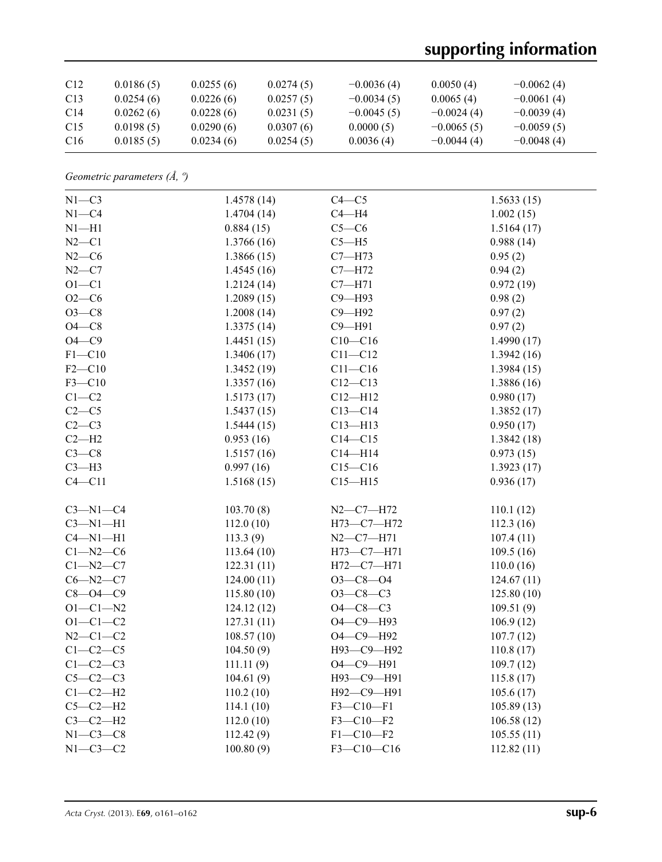# **supporting information**

| C <sub>12</sub> | 0.0186(5) | 0.0255(6) | 0.0274(5) | $-0.0036(4)$ | 0.0050(4)    | $-0.0062(4)$ |
|-----------------|-----------|-----------|-----------|--------------|--------------|--------------|
| C <sub>13</sub> | 0.0254(6) | 0.0226(6) | 0.0257(5) | $-0.0034(5)$ | 0.0065(4)    | $-0.0061(4)$ |
| C <sub>14</sub> | 0.0262(6) | 0.0228(6) | 0.0231(5) | $-0.0045(5)$ | $-0.0024(4)$ | $-0.0039(4)$ |
| C <sub>15</sub> | 0.0198(5) | 0.0290(6) | 0.0307(6) | 0.0000(5)    | $-0.0065(5)$ | $-0.0059(5)$ |
| C <sub>16</sub> | 0.0185(5) | 0.0234(6) | 0.0254(5) | 0.0036(4)    | $-0.0044(4)$ | $-0.0048(4)$ |

*Geometric parameters (Å, º)*

| $N1-C3$        | 1.4578(14) | $C4 - C5$       | 1.5633(15)  |
|----------------|------------|-----------------|-------------|
| $N1 - C4$      | 1.4704(14) | $C4 - H4$       | 1.002(15)   |
| $N1 - H1$      | 0.884(15)  | $C5-C6$         | 1.5164(17)  |
| $N2 - C1$      | 1.3766(16) | $C5 - H5$       | 0.988(14)   |
| $N2-C6$        | 1.3866(15) | $C7 - H73$      | 0.95(2)     |
| $N2-C7$        | 1.4545(16) | $C7 - H72$      | 0.94(2)     |
| $O1 - C1$      | 1.2124(14) | $C7 - H71$      | 0.972(19)   |
| $O2-C6$        | 1.2089(15) | C9-H93          | 0.98(2)     |
| $O3 - C8$      | 1.2008(14) | C9-H92          | 0.97(2)     |
| $O4 - C8$      | 1.3375(14) | $C9 - H91$      | 0.97(2)     |
| $O4-C9$        | 1.4451(15) | $C10 - C16$     | 1.4990(17)  |
| $F1 - C10$     | 1.3406(17) | $C11 - C12$     | 1.3942(16)  |
| $F2-C10$       | 1.3452(19) | $C11-C16$       | 1.3984(15)  |
| $F3 - C10$     | 1.3357(16) | $C12 - C13$     | 1.3886 (16) |
| $C1-C2$        | 1.5173(17) | $C12 - H12$     | 0.980(17)   |
| $C2-C5$        | 1.5437(15) | $C13-C14$       | 1.3852(17)  |
| $C2-C3$        | 1.5444(15) | $C13 - H13$     | 0.950(17)   |
| $C2-H2$        | 0.953(16)  | $C14 - C15$     | 1.3842(18)  |
| $C3-C8$        | 1.5157(16) | $C14 - H14$     | 0.973(15)   |
| $C3-H3$        | 0.997(16)  | $C15-C16$       | 1.3923(17)  |
| $C4 - C11$     | 1.5168(15) | $C15 - H15$     | 0.936(17)   |
|                |            |                 |             |
| $C3-M1-C4$     | 103.70(8)  | $N2 - C7 - H72$ | 110.1(12)   |
| $C3-M1-H1$     | 112.0(10)  | H73-C7-H72      | 112.3(16)   |
| $C4 - N1 - H1$ | 113.3(9)   | $N2-C7 - H71$   | 107.4(11)   |
| $C1 - N2 - C6$ | 113.64(10) | H73-C7-H71      | 109.5(16)   |
| $C1 - N2 - C7$ | 122.31(11) | H72-C7-H71      | 110.0(16)   |
| $C6 - N2 - C7$ | 124.00(11) | $O3 - C8 - O4$  | 124.67(11)  |
| $C8 - O4 - C9$ | 115.80(10) | $O3-C8-C3$      | 125.80(10)  |
| $O1 - C1 - N2$ | 124.12(12) | $O4 - C8 - C3$  | 109.51(9)   |
| $O1 - C1 - C2$ | 127.31(11) | О4-С9-Н93       | 106.9(12)   |
| $N2 - C1 - C2$ | 108.57(10) | O4-C9-H92       | 107.7(12)   |
| $C1-C2-C5$     | 104.50(9)  | Н93-С9-Н92      | 110.8(17)   |
| $C1-C2-C3$     | 111.11(9)  | O4-C9-H91       | 109.7(12)   |
| $C5-C2-C3$     | 104.61(9)  | Н93-С9-Н91      | 115.8(17)   |
| $C1-C2-H2$     | 110.2(10)  | Н92-С9-Н91      | 105.6(17)   |
| $C5-C2-H2$     | 114.1(10)  | $F3 - C10 - F1$ | 105.89(13)  |
| $C3-C2-H2$     | 112.0(10)  | $F3 - C10 - F2$ | 106.58(12)  |
| $N1-C3-C8$     | 112.42(9)  | $F1 - C10 - F2$ | 105.55(11)  |
| $N1-C3-C2$     | 100.80(9)  | F3-C10-C16      | 112.82(11)  |